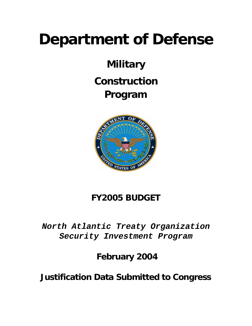# **Department of Defense**

## **Military Construction Program**



### **FY2005 BUDGET**

*North Atlantic Treaty Organization Security Investment Program* 

 **February 2004**

**Justification Data Submitted to Congress**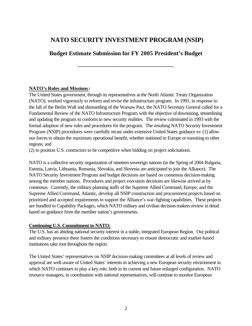#### **NATO SECURITY INVESTMENT PROGRAM (NSIP)**

**Budget Estimate Submission for FY 2005 President's Budget**

**--------------------------------------------------------------**

#### **NATO's Roles and Missions:**

The United States government, through its representatives at the North Atlantic Treaty Organization (NATO), worked vigorously to reform and revise the infrastructure program. In 1991, in response to the fall of the Berlin Wall and dismantling of the Warsaw Pact, the NATO Secretary General called for a Fundamental Review of the NATO Infrastructure Program with the objective of downsizing, streamlining and updating the program to conform to new security realities. The review culminated in 1993 with the formal adoption of new rules and procedures for the program. The resulting NATO Security Investment Program (NSIP) procedures were carefully recast under extensive United States guidance to: (1) allow our forces to obtain the maximum operational benefit, whether stationed in Europe or transiting to other regions; and

(2) to position U.S. contractors to be competitive when bidding on project solicitations.

NATO is a collective security organization of nineteen sovereign nations (in the Spring of 2004 Bulgaria, Estonia, Latvia, Lithuania, Romania, Slovakia, and Slovenia are anticipated to join the Alliance). The NATO Security Investment Program and budget decisions are based on consensus decision-making among the member nations. Procedures and project execution decisions are likewise arrived at by consensus. Currently, the military planning staffs of the Supreme Allied Command, Europe, and the Supreme Allied Command, Atlantic, develop all NSIP construction and procurement projects based on prioritized and accepted requirements to support the Alliance's war-fighting capabilities. These projects are bundled in Capability Packages, which NATO military and civilian decision-makers review in detail based on guidance from the member nation's governments.

#### **Continuing U.S. Commitment to NATO:**

The U.S. has an abiding national security interest in a stable, integrated European Region. Our political and military presence there fosters the conditions necessary to ensure democratic and market-based institutions take root throughout the region.

The United States' representatives on NSIP decision-making committees at all levels of review and approval are well-aware of United States' interests in achieving a new European security environment in which NATO continues to play a key role, both in its current and future enlarged configuration. NATO resource managers, in coordination with national representatives, will continue to monitor European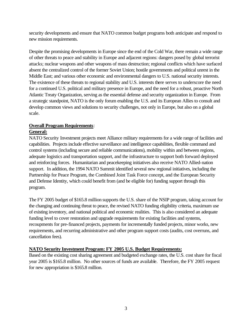security developments and ensure that NATO common budget programs both anticipate and respond to new mission requirements.

Despite the promising developments in Europe since the end of the Cold War, there remain a wide range of other threats to peace and stability in Europe and adjacent regions: dangers posed by global terrorist attacks; nuclear weapons and other weapons of mass destruction; regional conflicts which have surfaced absent the centralized control of the former Soviet Union; hostile governments and political unrest in the Middle East; and various other economic and environmental dangers to U.S. national security interests. The existence of these threats to regional stability and U.S. interests there serves to underscore the need for a continued U.S. political and military presence in Europe, and the need for a robust, proactive North Atlantic Treaty Organization, serving as the essential defense and security organization in Europe. From a strategic standpoint, NATO is the only forum enabling the U.S. and its European Allies to consult and develop common views and solutions to security challenges, not only in Europe, but also on a global scale.

#### **Overall Program Requirements**:

#### **General:**

NATO Security Investment projects meet Alliance military requirements for a wide range of facilities and capabilities. Projects include effective surveillance and intelligence capabilities, flexible command and control systems (including secure and reliable communications), mobility within and between regions, adequate logistics and transportation support, and the infrastructure to support both forward deployed and reinforcing forces. Humanitarian and peacekeeping initiatives also receive NATO Allied-nation support. In addition, the 1994 NATO Summit identified several new regional initiatives, including the Partnership for Peace Program, the Combined Joint Task Force concept, and the European Security and Defense Identity, which could benefit from (and be eligible for) funding support through this program.

The FY 2005 budget of \$165.8 million supports the U.S. share of the NSIP program, taking account for the changing and continuing threat to peace, the revised NATO funding eligibility criteria, maximum use of existing inventory, and national political and economic realities. This is also considered an adequate funding level to cover restoration and upgrade requirements for existing facilities and systems, recoupments for pre-financed projects, payments for incrementally funded projects, minor works, new requirements, and recurring administrative and other program support costs (audits, cost overruns, and cancellation fees).

#### **NATO Security Investment Program: FY 2005 U.S. Budget Requirements:**

Based on the existing cost sharing agreement and budgeted exchange rates, the U.S. cost share for fiscal year 2005 is \$165.8 million. No other sources of funds are available. Therefore, the FY 2005 request for new appropriation is \$165.8 million.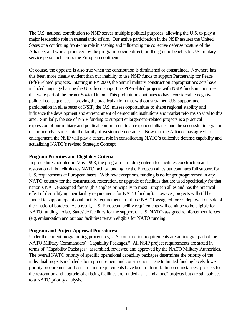The U.S. national contribution to NSIP serves multiple political purposes, allowing the U.S. to play a major leadership role in transatlantic affairs. Our active participation in the NSIP assures the United States of a continuing front-line role in shaping and influencing the collective defense posture of the Alliance, and works produced by the program provide direct, on-the-ground benefits to U.S. military service personnel across the European continent.

Of course, the opposite is also true when the contribution is diminished or constrained. Nowhere has this been more clearly evident than our inability to use NSIP funds to support Partnership for Peace (PfP)-related projects. Starting in FY 2000, the annual military construction appropriations acts have included language barring the U.S. from supporting PfP-related projects with NSIP funds in countries that were part of the former Soviet Union. This prohibition continues to have considerable negative political consequences – proving the practical axiom that without sustained U.S. support and participation in all aspects of NSIP, the U.S. misses opportunities to shape regional stability and influence the development and entrenchment of democratic institutions and market reforms so vital to this area. Similarly, the use of NSIP funding to support enlargement-related projects is a practical expression of our military and political commitment to an expanded alliance and the successful integration of former adversaries into the family of western democracies. Now that the Alliance has agreed to enlargement, the NSIP will play a central role in consolidating NATO's collective defense capability and actualizing NATO's revised Strategic Concept.

#### **Program Priorities and Eligibility Criteria:**

In procedures adopted in May 1993, the program's funding criteria for facilities construction and restoration all but eliminates NATO facility funding for the European allies but continues full support for U.S. requirements at European bases. With few exceptions, funding is no longer programmed in any NATO country for the construction, restoration, or upgrade of facilities that are used specifically for that nation's NATO-assigned forces (this applies principally to most European allies and has the practical effect of disqualifying their facility requirements for NATO funding). However, projects will still be funded to support operational facility requirements for those NATO-assigned forces deployed outside of their national borders. As a result, U.S. European facility requirements will continue to be eligible for NATO funding. Also, Stateside facilities for the support of U.S. NATO-assigned reinforcement forces (e.g. embarkation and outload facilities) remain eligible for NATO funding.

#### **Program and Project Approval Procedures:**

Under the current programming procedures, U.S. construction requirements are an integral part of the NATO Military Commanders' "Capability Packages." All NSIP project requirements are stated in terms of "Capability Packages," assembled, reviewed and approved by the NATO Military Authorities. The overall NATO priority of specific operational capability packages determines the priority of the individual projects included - both procurement and construction. Due to limited funding levels, lower priority procurement and construction requirements have been deferred. In some instances, projects for the restoration and upgrade of existing facilities are funded as "stand alone" projects but are still subject to a NATO priority analysis.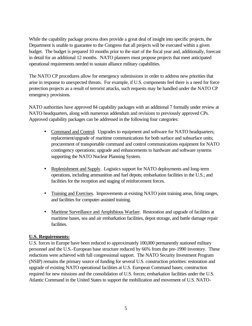While the capability package process does provide a great deal of insight into specific projects, the Department is unable to guarantee to the Congress that all projects will be executed within a given budget. The budget is prepared 10 months prior to the start of the fiscal year and, additionally, forecast in detail for an additional 12 months. NATO planners must propose projects that meet anticipated operational requirements needed to sustain alliance military capabilities.

The NATO CP procedures allow for emergency submissions in order to address new priorities that arise in response to unexpected threats. For example, if U.S. components feel there is a need for force protection projects as a result of terrorist attacks, such requests may be handled under the NATO CP emergency provisions.

NATO authorities have approved 84 capability packages with an additional 7 formally under review at NATO headquarters, along with numerous addendum and revisions to previously approved CPs. Approved capability packages can be addressed in the following four categories:

- Command and Control. Upgrades to equipment and software for NATO headquarters; replacement/upgrade of maritime communications for both surface and subsurface units; procurement of transportable command and control communications equipment for NATO contingency operations; upgrade and enhancements to hardware and software systems supporting the NATO Nuclear Planning System.
- Replenishment and Supply. Logistics support for NATO deployments and long-term operations, including ammunition and fuel depots; embarkation facilities in the U.S.; and facilities for the reception and staging of reinforcement forces.
- Training and Exercises. Improvements at existing NATO joint training areas, firing ranges, and facilities for computer-assisted training.
- Maritime Surveillance and Amphibious Warfare. Restoration and upgrade of facilities at maritime bases, sea and air embarkation facilities, depot storage, and battle damage repair facilities.

#### **U.S. Requirements:**

U.S. forces in Europe have been reduced to approximately 100,000 permanently stationed military personnel and the U.S.-European base structure reduced by 66% from the pre-1990 inventory. These reductions were achieved with full congressional support. The NATO Security Investment Program (NSIP) remains the primary source of funding for several U.S. construction priorities: restoration and upgrade of existing NATO operational facilities at U.S. European Command bases; construction required for new missions and the consolidation of U.S. forces; embarkation facilities under the U.S. Atlantic Command in the United States to support the mobilization and movement of U.S. NATO-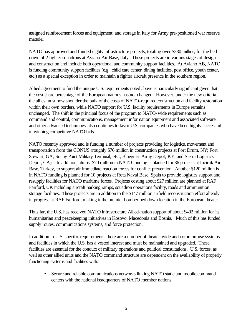assigned reinforcement forces and equipment; and storage in Italy for Army pre-positioned war reserve materiel.

NATO has approved and funded eighty infrastructure projects, totaling over \$330 million, for the bed down of 2 fighter squadrons at Aviano Air Base, Italy. These projects are in various stages of design and construction and include both operational and community support facilities. At Aviano AB, NATO is funding community support facilities (e.g., child care center, dining facilities, post office, youth center, etc.) as a special exception in order to maintain a fighter aircraft presence in the southern region.

Allied agreement to fund the unique U.S. requirements noted above is particularly significant given that the cost share percentage of the European nations has not changed. However, under the new criteria, the allies must now shoulder the bulk of the costs of NATO-required construction and facility restoration within their own borders, while NATO support for U.S. facility requirements in Europe remains unchanged. The shift in the principal focus of the program to NATO-wide requirements such as command and control, communications, management information equipment and associated software, and other advanced technology also continues to favor U.S. companies who have been highly successful in winning competitive NATO bids.

NATO recently approved and is funding a number of projects providing for logistics, movement and transportation from the CONUS (roughly \$76 million in construction projects at Fort Drum, NY; Fort Stewart, GA; Sunny Point Military Terminal, NC; Bluegrass Army Depot, KY; and Sierra Logistics Depot, CA). In addition, almost \$70 million in NATO funding is planned for 36 projects at Incirlik Air Base, Turkey, to support air immediate reaction forces for conflict prevention. Another \$120 million is in NATO funding is planned for 10 projects at Rota Naval Base, Spain to provide logistics support and resupply facilities for NATO maritime forces. Projects costing about \$27 million are planned at RAF Fairford, UK including aircraft parking ramps, squadron operations facility, roads and ammunition storage facilities. These projects are in addition to the \$147 million airfield reconstruction effort already in progress at RAF Fairford, making it the premier bomber bed down location in the European theater.

Thus far, the U.S. has received NATO infrastructure Allied-nation support of about \$402 million for its humanitarian and peacekeeping initiatives in Kosovo, Macedonia and Bosnia. Much of this has funded supply routes, communications systems, and force protection.

In addition to U.S. specific requirements, there are a number of theater-wide and common-use systems and facilities in which the U.S. has a vested interest and must be maintained and upgraded. These facilities are essential for the conduct of military operations and political consultations. U.S. forces, as well as other allied units and the NATO command structure are dependent on the availability of properly functioning systems and facilities with:

• Secure and reliable communications networks linking NATO static and mobile command centers with the national headquarters of NATO member nations.